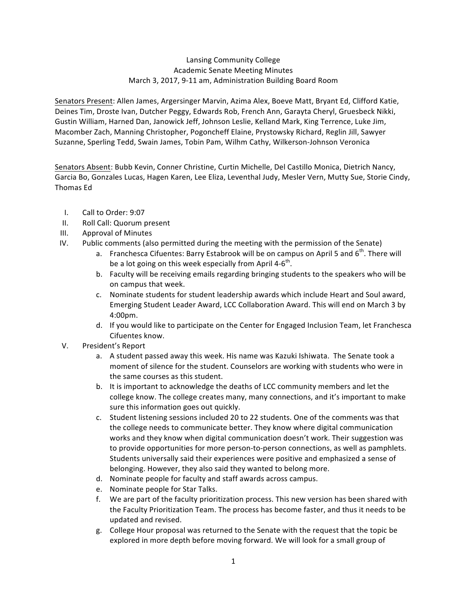## Lansing Community College Academic Senate Meeting Minutes March 3, 2017, 9-11 am, Administration Building Board Room

Senators Present: Allen James, Argersinger Marvin, Azima Alex, Boeve Matt, Bryant Ed, Clifford Katie, Deines Tim, Droste Ivan, Dutcher Peggy, Edwards Rob, French Ann, Garayta Cheryl, Gruesbeck Nikki, Gustin William, Harned Dan, Janowick Jeff, Johnson Leslie, Kelland Mark, King Terrence, Luke Jim, Macomber Zach, Manning Christopher, Pogoncheff Elaine, Prystowsky Richard, Reglin Jill, Sawyer Suzanne, Sperling Tedd, Swain James, Tobin Pam, Wilhm Cathy, Wilkerson-Johnson Veronica

Senators Absent: Bubb Kevin, Conner Christine, Curtin Michelle, Del Castillo Monica, Dietrich Nancy, Garcia Bo, Gonzales Lucas, Hagen Karen, Lee Eliza, Leventhal Judy, Mesler Vern, Mutty Sue, Storie Cindy, Thomas Ed

- I. Call to Order: 9:07
- II. Roll Call: Quorum present
- III. Approval of Minutes
- IV. Public comments (also permitted during the meeting with the permission of the Senate)
	- a. Franchesca Cifuentes: Barry Estabrook will be on campus on April 5 and 6<sup>th</sup>. There will be a lot going on this week especially from April 4- $6<sup>th</sup>$ .
	- b. Faculty will be receiving emails regarding bringing students to the speakers who will be on campus that week.
	- c. Nominate students for student leadership awards which include Heart and Soul award, Emerging Student Leader Award, LCC Collaboration Award. This will end on March 3 by 4:00pm.
	- d. If you would like to participate on the Center for Engaged Inclusion Team, let Franchesca Cifuentes know.
- V. President's Report
	- a. A student passed away this week. His name was Kazuki Ishiwata. The Senate took a moment of silence for the student. Counselors are working with students who were in the same courses as this student.
	- b. It is important to acknowledge the deaths of LCC community members and let the college know. The college creates many, many connections, and it's important to make sure this information goes out quickly.
	- c. Student listening sessions included 20 to 22 students. One of the comments was that the college needs to communicate better. They know where digital communication works and they know when digital communication doesn't work. Their suggestion was to provide opportunities for more person-to-person connections, as well as pamphlets. Students universally said their experiences were positive and emphasized a sense of belonging. However, they also said they wanted to belong more.
	- d. Nominate people for faculty and staff awards across campus.
	- e. Nominate people for Star Talks.
	- f. We are part of the faculty prioritization process. This new version has been shared with the Faculty Prioritization Team. The process has become faster, and thus it needs to be updated and revised.
	- g. College Hour proposal was returned to the Senate with the request that the topic be explored in more depth before moving forward. We will look for a small group of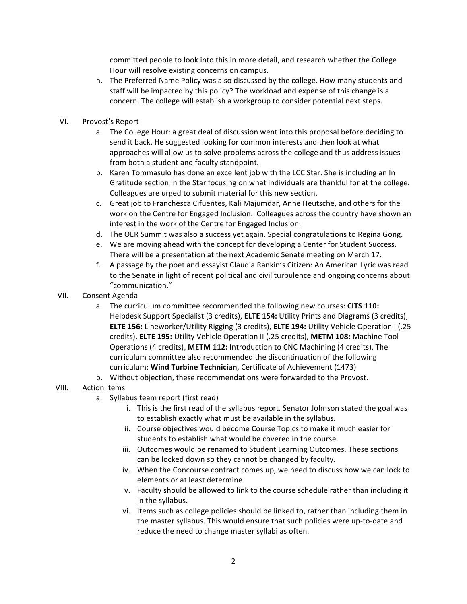committed people to look into this in more detail, and research whether the College Hour will resolve existing concerns on campus.

- h. The Preferred Name Policy was also discussed by the college. How many students and staff will be impacted by this policy? The workload and expense of this change is a concern. The college will establish a workgroup to consider potential next steps.
- VI. Provost's Report
	- a. The College Hour: a great deal of discussion went into this proposal before deciding to send it back. He suggested looking for common interests and then look at what approaches will allow us to solve problems across the college and thus address issues from both a student and faculty standpoint.
	- b. Karen Tommasulo has done an excellent job with the LCC Star. She is including an In Gratitude section in the Star focusing on what individuals are thankful for at the college. Colleagues are urged to submit material for this new section.
	- c. Great job to Franchesca Cifuentes, Kali Majumdar, Anne Heutsche, and others for the work on the Centre for Engaged Inclusion. Colleagues across the country have shown an interest in the work of the Centre for Engaged Inclusion.
	- d. The OER Summit was also a success yet again. Special congratulations to Regina Gong.
	- e. We are moving ahead with the concept for developing a Center for Student Success. There will be a presentation at the next Academic Senate meeting on March 17.
	- f. A passage by the poet and essayist Claudia Rankin's Citizen: An American Lyric was read to the Senate in light of recent political and civil turbulence and ongoing concerns about "communication."
- VII. Consent Agenda
	- a. The curriculum committee recommended the following new courses: CITS 110: Helpdesk Support Specialist (3 credits), **ELTE 154:** Utility Prints and Diagrams (3 credits), **ELTE 156:** Lineworker/Utility Rigging (3 credits), **ELTE 194:** Utility Vehicle Operation I (.25 credits), **ELTE 195:** Utility Vehicle Operation II (.25 credits), METM 108: Machine Tool Operations (4 credits), METM 112: Introduction to CNC Machining (4 credits). The curriculum committee also recommended the discontinuation of the following curriculum: **Wind Turbine Technician**, Certificate of Achievement (1473)
	- b. Without objection, these recommendations were forwarded to the Provost.

## VIII. Action items

- a. Syllabus team report (first read)
	- i. This is the first read of the syllabus report. Senator Johnson stated the goal was to establish exactly what must be available in the syllabus.
	- ii. Course objectives would become Course Topics to make it much easier for students to establish what would be covered in the course.
	- iii. Outcomes would be renamed to Student Learning Outcomes. These sections can be locked down so they cannot be changed by faculty.
	- iv. When the Concourse contract comes up, we need to discuss how we can lock to elements or at least determine
	- v. Faculty should be allowed to link to the course schedule rather than including it in the syllabus.
	- vi. Items such as college policies should be linked to, rather than including them in the master syllabus. This would ensure that such policies were up-to-date and reduce the need to change master syllabi as often.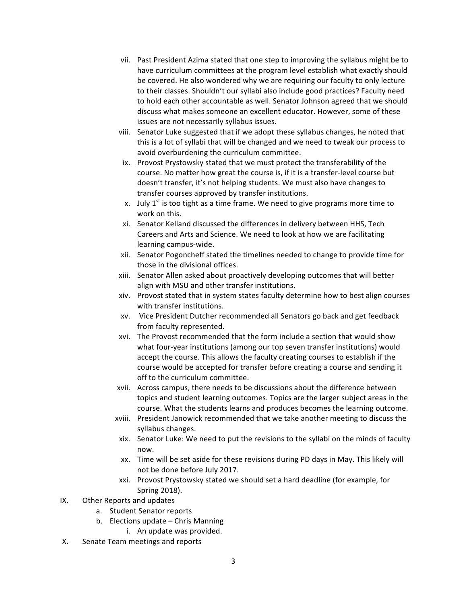- vii. Past President Azima stated that one step to improving the syllabus might be to have curriculum committees at the program level establish what exactly should be covered. He also wondered why we are requiring our faculty to only lecture to their classes. Shouldn't our syllabi also include good practices? Faculty need to hold each other accountable as well. Senator Johnson agreed that we should discuss what makes someone an excellent educator. However, some of these issues are not necessarily syllabus issues.
- viii. Senator Luke suggested that if we adopt these syllabus changes, he noted that this is a lot of syllabi that will be changed and we need to tweak our process to avoid overburdening the curriculum committee.
- ix. Provost Prystowsky stated that we must protect the transferability of the course. No matter how great the course is, if it is a transfer-level course but doesn't transfer, it's not helping students. We must also have changes to transfer courses approved by transfer institutions.
- x. July  $1^{st}$  is too tight as a time frame. We need to give programs more time to work on this.
- xi. Senator Kelland discussed the differences in delivery between HHS, Tech Careers and Arts and Science. We need to look at how we are facilitating learning campus-wide.
- xii. Senator Pogoncheff stated the timelines needed to change to provide time for those in the divisional offices.
- xiii. Senator Allen asked about proactively developing outcomes that will better align with MSU and other transfer institutions.
- xiv. Provost stated that in system states faculty determine how to best align courses with transfer institutions.
- xv. Vice President Dutcher recommended all Senators go back and get feedback from faculty represented.
- xvi. The Provost recommended that the form include a section that would show what four-year institutions (among our top seven transfer institutions) would accept the course. This allows the faculty creating courses to establish if the course would be accepted for transfer before creating a course and sending it off to the curriculum committee.
- xvii. Across campus, there needs to be discussions about the difference between topics and student learning outcomes. Topics are the larger subject areas in the course. What the students learns and produces becomes the learning outcome.
- xviii. President Janowick recommended that we take another meeting to discuss the syllabus changes.
- xix. Senator Luke: We need to put the revisions to the syllabi on the minds of faculty now.
- xx. Time will be set aside for these revisions during PD days in May. This likely will not be done before July 2017.
- xxi. Provost Prystowsky stated we should set a hard deadline (for example, for Spring 2018).
- IX. Other Reports and updates
	- a. Student Senator reports
	- b. Elections update  $-$  Chris Manning
		- i. An update was provided.
- X. Senate Team meetings and reports